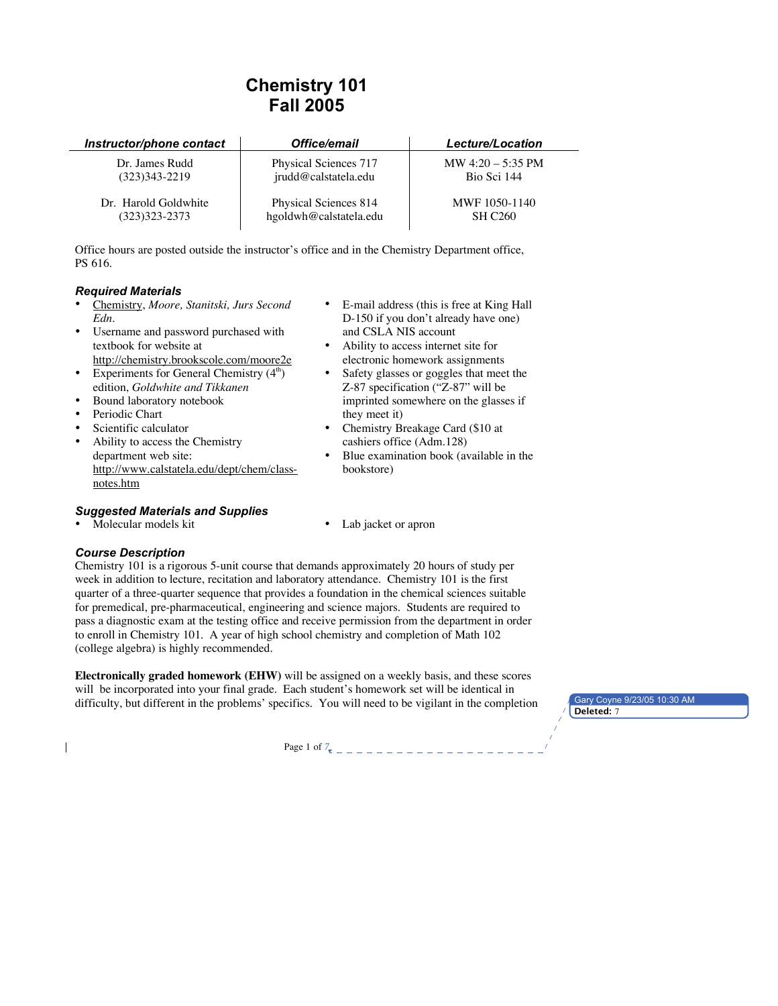# **Chemistry 101 Fall 2005**

| Instructor/phone contact | Office/email           | <b>Lecture/Location</b> |
|--------------------------|------------------------|-------------------------|
| Dr. James Rudd           | Physical Sciences 717  | MW $4:20 - 5:35$ PM     |
| $(323)343 - 2219$        | jrudd@calstatela.edu   | Bio Sci 144             |
| Dr. Harold Goldwhite     | Physical Sciences 814  | MWF 1050-1140           |
| (323)323-2373            | hgoldwh@calstatela.edu | SH C <sub>260</sub>     |

Office hours are posted outside the instructor's office and in the Chemistry Department office, PS 616.

## *Required Materials*

- Chemistry, *Moore, Stanitski, Jurs Second Edn.*
- Username and password purchased with textbook for website at http://chemistry.brookscole.com/moore2e
- Experiments for General Chemistry  $(4<sup>th</sup>)$ edition, *Goldwhite and Tikkanen*
- Bound laboratory notebook
- Periodic Chart
- Scientific calculator
- Ability to access the Chemistry department web site: http://www.calstatela.edu/dept/chem/classnotes.htm
- E-mail address (this is free at King Hall D-150 if you don't already have one) and CSLA NIS account
- Ability to access internet site for electronic homework assignments
- Safety glasses or goggles that meet the Z-87 specification ("Z-87" will be imprinted somewhere on the glasses if they meet it)
- Chemistry Breakage Card (\$10 at cashiers office (Adm.128)
- Blue examination book (available in the bookstore)

# *Suggested Materials and Supplies*

- Molecular models kit Lab jacket or apron
	-

## *Course Description*

Chemistry 101 is a rigorous 5-unit course that demands approximately 20 hours of study per week in addition to lecture, recitation and laboratory attendance. Chemistry 101 is the first quarter of a three-quarter sequence that provides a foundation in the chemical sciences suitable for premedical, pre-pharmaceutical, engineering and science majors. Students are required to pass a diagnostic exam at the testing office and receive permission from the department in order to enroll in Chemistry 101. A year of high school chemistry and completion of Math 102 (college algebra) is highly recommended.

**Electronically graded homework (EHW)** will be assigned on a weekly basis, and these scores will be incorporated into your final grade. Each student's homework set will be identical in difficulty, but different in the problems' specifics. You will need to be vigilant in the completion **Deleted:** 7

Page 1 of *7*

Gary Coyne 9/23/05 10:30 AM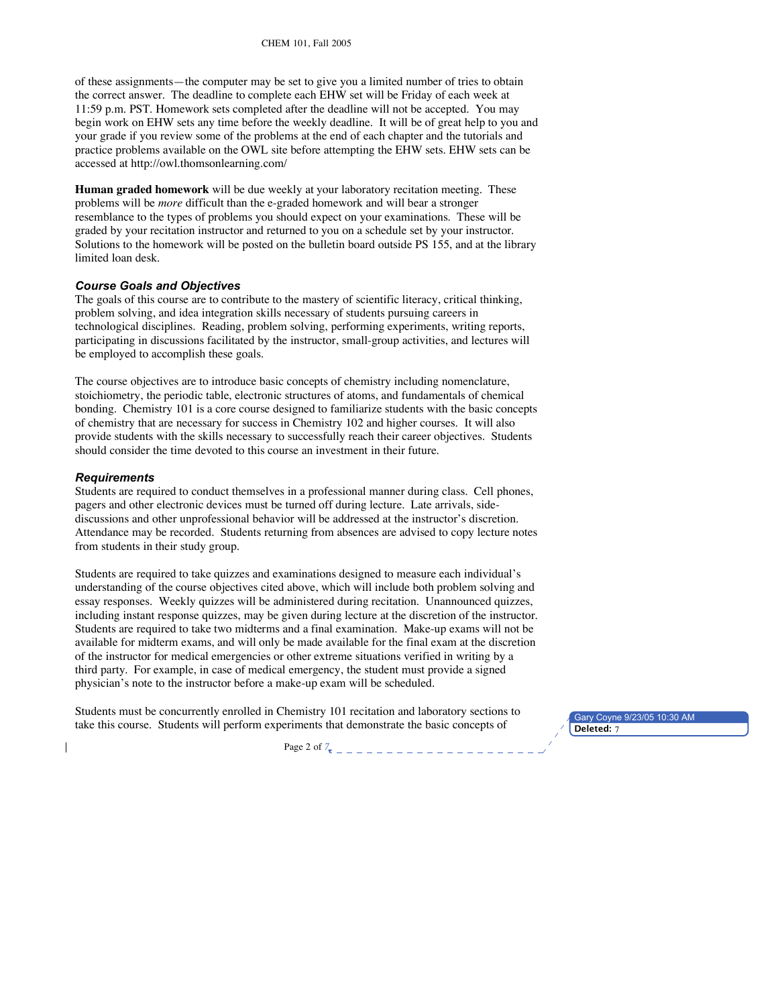of these assignments—the computer may be set to give you a limited number of tries to obtain the correct answer. The deadline to complete each EHW set will be Friday of each week at 11:59 p.m. PST. Homework sets completed after the deadline will not be accepted. You may begin work on EHW sets any time before the weekly deadline. It will be of great help to you and your grade if you review some of the problems at the end of each chapter and the tutorials and practice problems available on the OWL site before attempting the EHW sets. EHW sets can be accessed at http://owl.thomsonlearning.com/

**Human graded homework** will be due weekly at your laboratory recitation meeting. These problems will be *more* difficult than the e-graded homework and will bear a stronger resemblance to the types of problems you should expect on your examinations. These will be graded by your recitation instructor and returned to you on a schedule set by your instructor. Solutions to the homework will be posted on the bulletin board outside PS 155, and at the library limited loan desk.

## *Course Goals and Objectives*

The goals of this course are to contribute to the mastery of scientific literacy, critical thinking, problem solving, and idea integration skills necessary of students pursuing careers in technological disciplines. Reading, problem solving, performing experiments, writing reports, participating in discussions facilitated by the instructor, small-group activities, and lectures will be employed to accomplish these goals.

The course objectives are to introduce basic concepts of chemistry including nomenclature, stoichiometry, the periodic table, electronic structures of atoms, and fundamentals of chemical bonding. Chemistry 101 is a core course designed to familiarize students with the basic concepts of chemistry that are necessary for success in Chemistry 102 and higher courses. It will also provide students with the skills necessary to successfully reach their career objectives. Students should consider the time devoted to this course an investment in their future.

#### *Requirements*

Students are required to conduct themselves in a professional manner during class. Cell phones, pagers and other electronic devices must be turned off during lecture. Late arrivals, sidediscussions and other unprofessional behavior will be addressed at the instructor's discretion. Attendance may be recorded. Students returning from absences are advised to copy lecture notes from students in their study group.

Students are required to take quizzes and examinations designed to measure each individual's understanding of the course objectives cited above, which will include both problem solving and essay responses. Weekly quizzes will be administered during recitation. Unannounced quizzes, including instant response quizzes, may be given during lecture at the discretion of the instructor. Students are required to take two midterms and a final examination. Make-up exams will not be available for midterm exams, and will only be made available for the final exam at the discretion of the instructor for medical emergencies or other extreme situations verified in writing by a third party. For example, in case of medical emergency, the student must provide a signed physician's note to the instructor before a make-up exam will be scheduled.

Students must be concurrently enrolled in Chemistry 101 recitation and laboratory sections to take this course. Students will perform experiments that demonstrate the basic concepts of

Gary Coyne 9/23/05 10:30 AM<br>Deleted: 7

Page 2 of *7*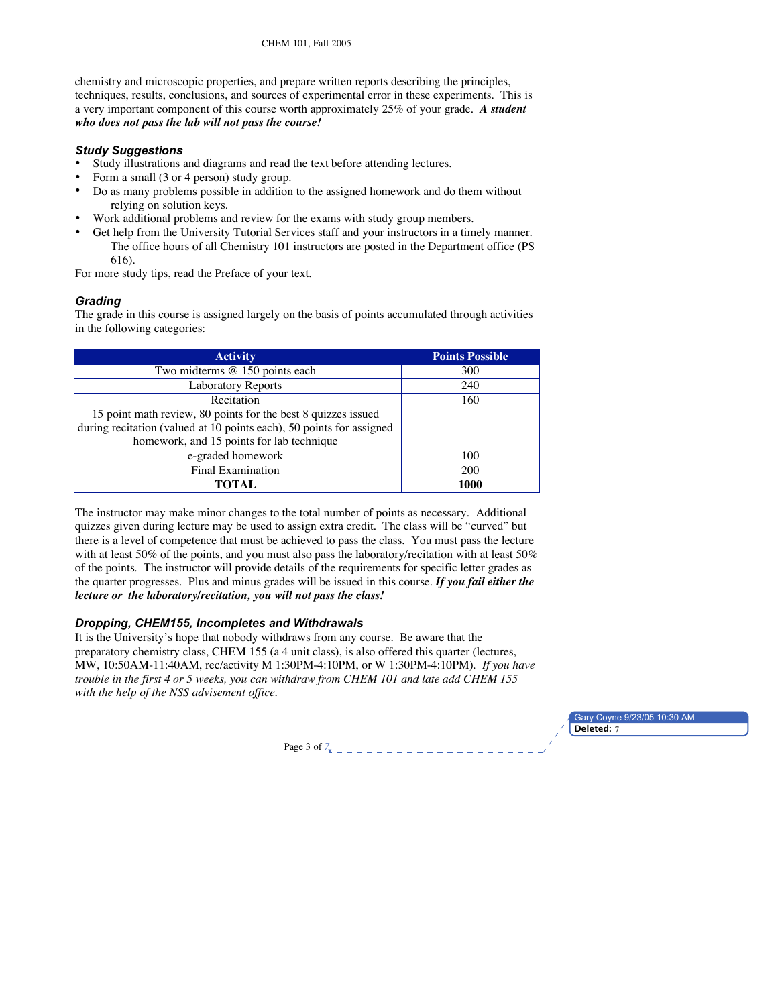CHEM 101, Fall 2005

chemistry and microscopic properties, and prepare written reports describing the principles, techniques, results, conclusions, and sources of experimental error in these experiments. This is a very important component of this course worth approximately 25% of your grade. *A student who does not pass the lab will not pass the course!*

## *Study Suggestions*

- Study illustrations and diagrams and read the text before attending lectures.
- Form a small (3 or 4 person) study group.
- Do as many problems possible in addition to the assigned homework and do them without relying on solution keys.
- Work additional problems and review for the exams with study group members.
- Get help from the University Tutorial Services staff and your instructors in a timely manner. The office hours of all Chemistry 101 instructors are posted in the Department office (PS 616).

For more study tips, read the Preface of your text.

# *Grading*

The grade in this course is assigned largely on the basis of points accumulated through activities in the following categories:

| <b>Activity</b>                                                      | <b>Points Possible</b> |
|----------------------------------------------------------------------|------------------------|
| Two midterms @ 150 points each                                       | 300                    |
| <b>Laboratory Reports</b>                                            | 240                    |
| Recitation                                                           | 160                    |
| 15 point math review, 80 points for the best 8 quizzes issued        |                        |
| during recitation (valued at 10 points each), 50 points for assigned |                        |
| homework, and 15 points for lab technique                            |                        |
| e-graded homework                                                    | 100                    |
| <b>Final Examination</b>                                             | 200                    |
| TOTAL.                                                               | 1000                   |

The instructor may make minor changes to the total number of points as necessary. Additional quizzes given during lecture may be used to assign extra credit. The class will be "curved" but there is a level of competence that must be achieved to pass the class. You must pass the lecture with at least 50% of the points, and you must also pass the laboratory/recitation with at least 50% of the points. The instructor will provide details of the requirements for specific letter grades as the quarter progresses. Plus and minus grades will be issued in this course. *If you fail either the lecture or the laboratory/recitation, you will not pass the class!*

## *Dropping, CHEM155, Incompletes and Withdrawals*

It is the University's hope that nobody withdraws from any course. Be aware that the preparatory chemistry class, CHEM 155 (a 4 unit class), is also offered this quarter (lectures, MW, 10:50AM-11:40AM, rec/activity M 1:30PM-4:10PM, or W 1:30PM-4:10PM). *If you have trouble in the first 4 or 5 weeks, you can withdraw from CHEM 101 and late add CHEM 155 with the help of the NSS advisement office*.

> Gary Coyne 9/23/05 10:30 AM **Deleted:** 7

Page 3 of  $7\pi$  – – – – – – – – – – – – – – –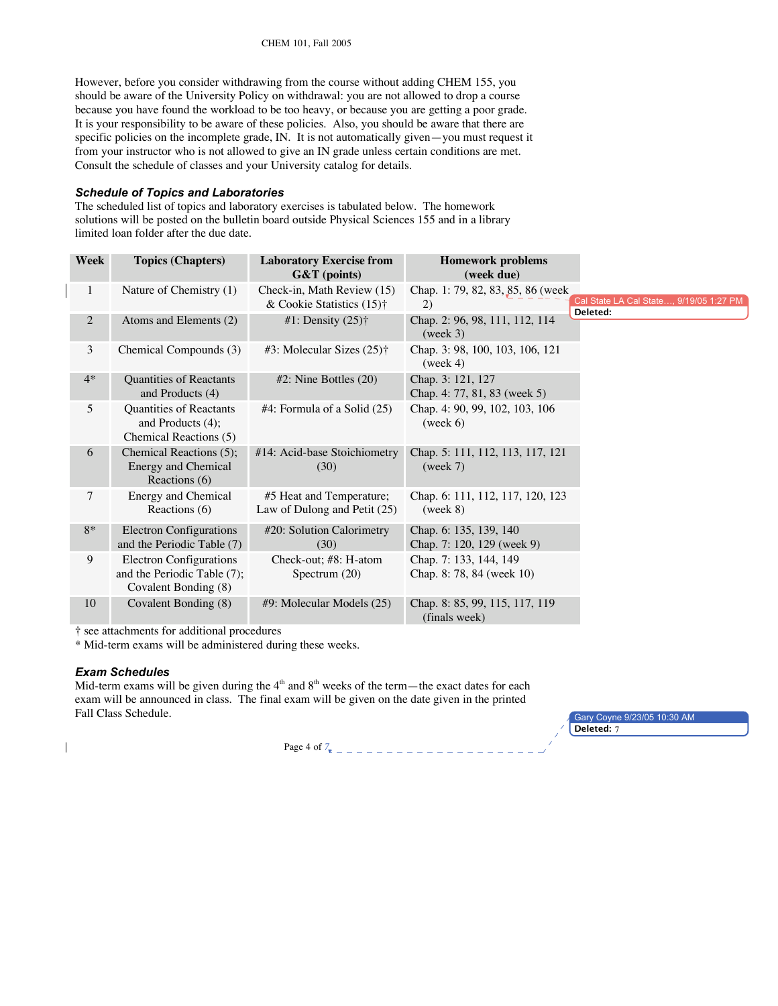However, before you consider withdrawing from the course without adding CHEM 155, you should be aware of the University Policy on withdrawal: you are not allowed to drop a course because you have found the workload to be too heavy, or because you are getting a poor grade. It is your responsibility to be aware of these policies. Also, you should be aware that there are specific policies on the incomplete grade, IN. It is not automatically given—you must request it from your instructor who is not allowed to give an IN grade unless certain conditions are met. Consult the schedule of classes and your University catalog for details.

#### *Schedule of Topics and Laboratories*

The scheduled list of topics and laboratory exercises is tabulated below. The homework solutions will be posted on the bulletin board outside Physical Sciences 155 and in a library limited loan folder after the due date.

| Week         | <b>Topics (Chapters)</b>                                                              | <b>Laboratory Exercise from</b><br>$G&T$ (points)          | <b>Homework problems</b><br>(week due)                                                          |
|--------------|---------------------------------------------------------------------------------------|------------------------------------------------------------|-------------------------------------------------------------------------------------------------|
| $\mathbf{1}$ | Nature of Chemistry (1)                                                               | Check-in, Math Review (15)<br>& Cookie Statistics $(15)$ † | Chap. 1: 79, 82, 83, 85, 86 (week)<br>Cal State LA Cal State, 9/19/05 1:27 PM<br>2)<br>Deleted: |
| 2            | Atoms and Elements (2)                                                                | #1: Density $(25)$ †                                       | Chap. 2: 96, 98, 111, 112, 114<br>(week 3)                                                      |
| 3            | Chemical Compounds (3)                                                                | #3: Molecular Sizes $(25)$ †                               | Chap. 3: 98, 100, 103, 106, 121<br>(week 4)                                                     |
| $4*$         | Quantities of Reactants<br>and Products (4)                                           | $#2$ : Nine Bottles $(20)$                                 | Chap. 3: 121, 127<br>Chap. 4: 77, 81, 83 (week 5)                                               |
| 5            | Quantities of Reactants<br>and Products (4);<br>Chemical Reactions (5)                | $#4$ : Formula of a Solid $(25)$                           | Chap. 4: 90, 99, 102, 103, 106<br>(week 6)                                                      |
| 6            | Chemical Reactions (5);<br><b>Energy and Chemical</b><br>Reactions (6)                | #14: Acid-base Stoichiometry<br>(30)                       | Chap. 5: 111, 112, 113, 117, 121<br>(week 7)                                                    |
| 7            | Energy and Chemical<br>Reactions (6)                                                  | #5 Heat and Temperature;<br>Law of Dulong and Petit (25)   | Chap. 6: 111, 112, 117, 120, 123<br>(week 8)                                                    |
| $8*$         | <b>Electron Configurations</b><br>and the Periodic Table (7)                          | #20: Solution Calorimetry<br>(30)                          | Chap. 6: 135, 139, 140<br>Chap. 7: 120, 129 (week 9)                                            |
| 9            | <b>Electron Configurations</b><br>and the Periodic Table (7);<br>Covalent Bonding (8) | Check-out; #8: H-atom<br>Spectrum $(20)$                   | Chap. 7: 133, 144, 149<br>Chap. 8: 78, 84 (week 10)                                             |
| 10           | Covalent Bonding (8)                                                                  | #9: Molecular Models (25)                                  | Chap. 8: 85, 99, 115, 117, 119<br>(finals week)                                                 |

† see attachments for additional procedures

\* Mid-term exams will be administered during these weeks.

#### *Exam Schedules*

 $\overline{\phantom{a}}$ 

Mid-term exams will be given during the  $4<sup>th</sup>$  and  $8<sup>th</sup>$  weeks of the term—the exact dates for each exam will be announced in class. The final exam will be given on the date given in the printed Fall Class Schedule.

Page 4 of *7*

Gary Coyne 9/23/05 10:30 AM **Deleted:** 7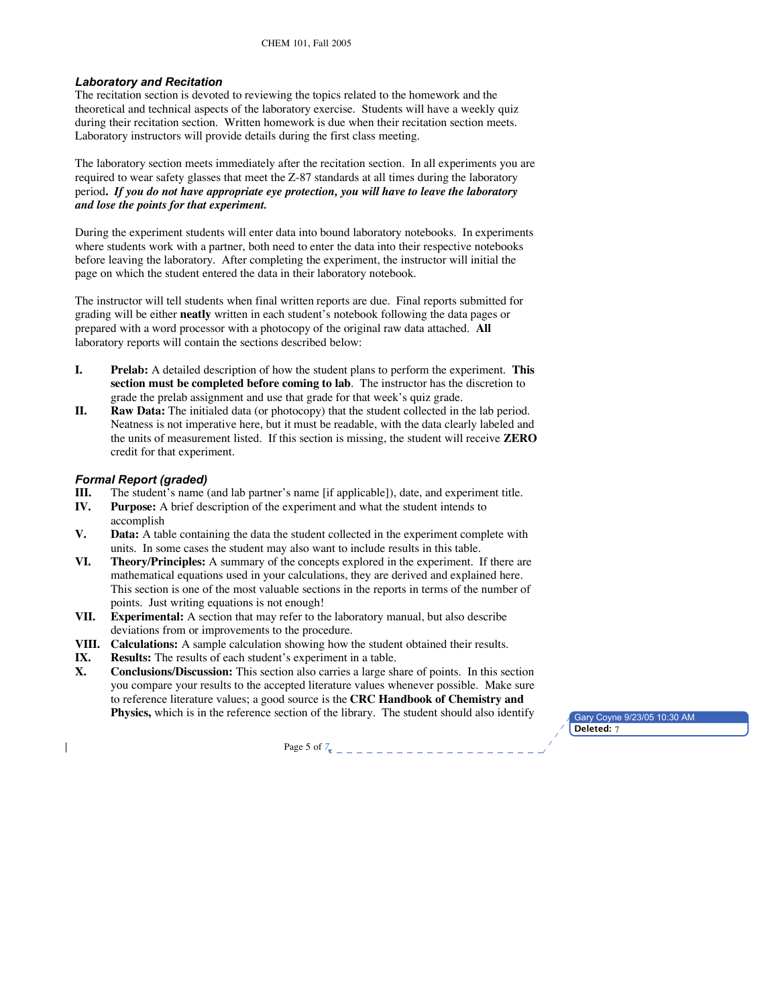## *Laboratory and Recitation*

The recitation section is devoted to reviewing the topics related to the homework and the theoretical and technical aspects of the laboratory exercise. Students will have a weekly quiz during their recitation section. Written homework is due when their recitation section meets. Laboratory instructors will provide details during the first class meeting.

The laboratory section meets immediately after the recitation section. In all experiments you are required to wear safety glasses that meet the Z-87 standards at all times during the laboratory period**.** *If you do not have appropriate eye protection, you will have to leave the laboratory and lose the points for that experiment.*

During the experiment students will enter data into bound laboratory notebooks. In experiments where students work with a partner, both need to enter the data into their respective notebooks before leaving the laboratory. After completing the experiment, the instructor will initial the page on which the student entered the data in their laboratory notebook.

The instructor will tell students when final written reports are due. Final reports submitted for grading will be either **neatly** written in each student's notebook following the data pages or prepared with a word processor with a photocopy of the original raw data attached. **All** laboratory reports will contain the sections described below:

- **I. Prelab:** A detailed description of how the student plans to perform the experiment. **This section must be completed before coming to lab**. The instructor has the discretion to grade the prelab assignment and use that grade for that week's quiz grade.
- **II. Raw Data:** The initialed data (or photocopy) that the student collected in the lab period. Neatness is not imperative here, but it must be readable, with the data clearly labeled and the units of measurement listed. If this section is missing, the student will receive **ZERO** credit for that experiment.

## *Formal Report (graded)*

- **III.** The student's name (and lab partner's name [if applicable]), date, and experiment title.
- **IV. Purpose:** A brief description of the experiment and what the student intends to accomplish
- **V. Data:** A table containing the data the student collected in the experiment complete with units. In some cases the student may also want to include results in this table.
- **VI. Theory/Principles:** A summary of the concepts explored in the experiment. If there are mathematical equations used in your calculations, they are derived and explained here. This section is one of the most valuable sections in the reports in terms of the number of points. Just writing equations is not enough!
- **VII. Experimental:** A section that may refer to the laboratory manual, but also describe deviations from or improvements to the procedure.
- **VIII. Calculations:** A sample calculation showing how the student obtained their results.
- **IX. Results:** The results of each student's experiment in a table.
- **X. Conclusions/Discussion:** This section also carries a large share of points. In this section you compare your results to the accepted literature values whenever possible. Make sure to reference literature values; a good source is the **CRC Handbook of Chemistry and Physics,** which is in the reference section of the library. The student should also identify

Gary Coyne 9/23/05 10:30 AM **Deleted:** 7

Page 5 of *7*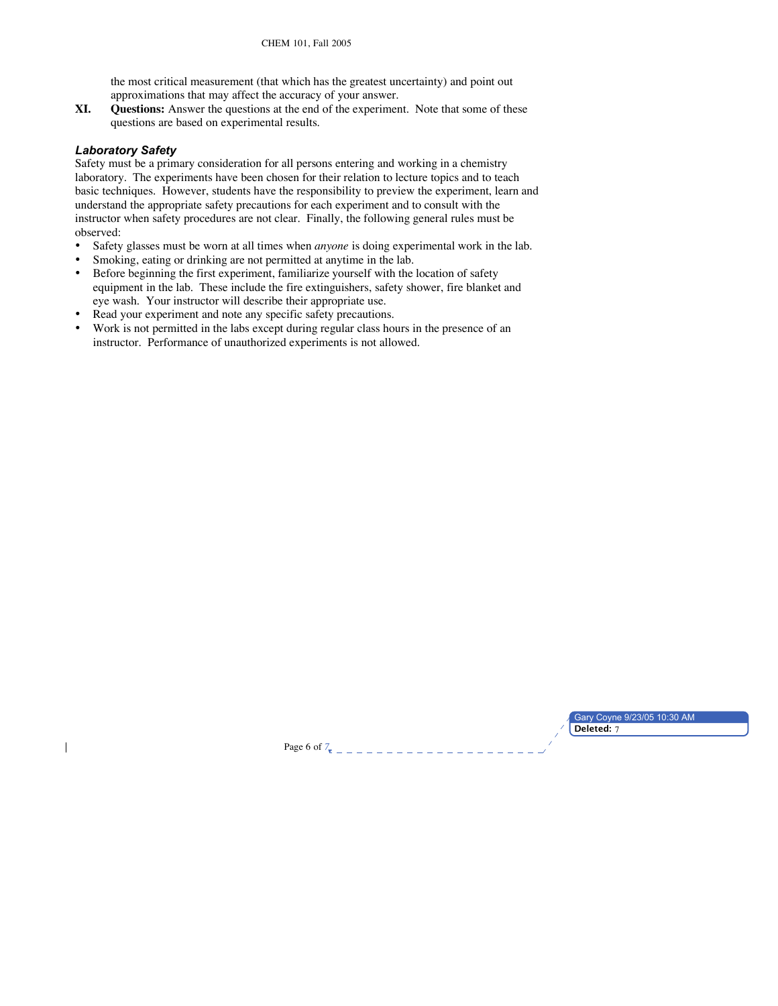the most critical measurement (that which has the greatest uncertainty) and point out approximations that may affect the accuracy of your answer.

**XI. Questions:** Answer the questions at the end of the experiment. Note that some of these questions are based on experimental results.

## *Laboratory Safety*

 $\overline{\phantom{a}}$ 

Safety must be a primary consideration for all persons entering and working in a chemistry laboratory. The experiments have been chosen for their relation to lecture topics and to teach basic techniques. However, students have the responsibility to preview the experiment, learn and understand the appropriate safety precautions for each experiment and to consult with the instructor when safety procedures are not clear. Finally, the following general rules must be observed:

- Safety glasses must be worn at all times when *anyone* is doing experimental work in the lab.
- Smoking, eating or drinking are not permitted at anytime in the lab.<br>• Refore beginning the first experiment familiarize yourself with the
- Before beginning the first experiment, familiarize yourself with the location of safety equipment in the lab. These include the fire extinguishers, safety shower, fire blanket and eye wash. Your instructor will describe their appropriate use.
- Read your experiment and note any specific safety precautions.
- Work is not permitted in the labs except during regular class hours in the presence of an instructor. Performance of unauthorized experiments is not allowed.

Gary Coyne 9/23/05 10:30 AM **Deleted:** 7

Page 6 of *7*